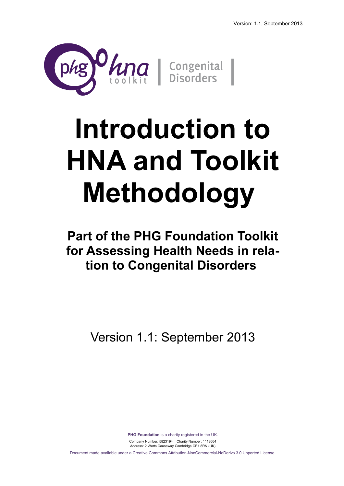

# **Introduction to HNA and Toolkit Methodology**

**Part of the PHG Foundation Toolkit for Assessing Health Needs in relation to Congenital Disorders** 

Version 1.1: September 2013

**PHG Foundation** is a charity registered in the UK. Company Number: 5823194 Charity Number: 1118664 Address: 2 Worts Causeway Cambridge CB1 8RN (UK) Document made available under a Creative Commons Attribution-NonCommercial-NoDerivs 3.0 Unported License.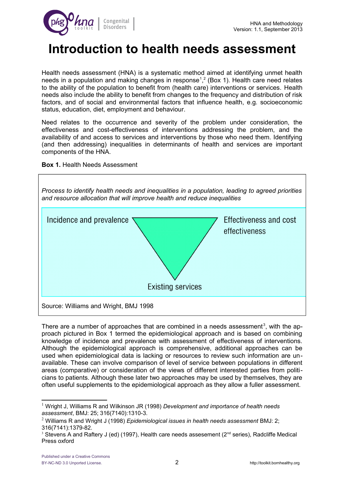

## **Introduction to health needs assessment**

Health needs assessment (HNA) is a systematic method aimed at identifying unmet health needs in a population and making changes in response<sup>[1](#page-1-0)</sup>,<sup>[2](#page-1-1)</sup> (Box 1). Health care need relates to the ability of the population to benefit from (health care) interventions or services. Health needs also include the ability to benefit from changes to the frequency and distribution of risk factors, and of social and environmental factors that influence health, e.g. socioeconomic status, education, diet, employment and behaviour.

Need relates to the occurrence and severity of the problem under consideration, the effectiveness and cost-effectiveness of interventions addressing the problem, and the availability of and access to services and interventions by those who need them. Identifying (and then addressing) inequalities in determinants of health and services are important components of the HNA.





There are a number of approaches that are combined in a needs assessment<sup>[3](#page-1-2)</sup>, with the approach pictured in Box 1 termed the epidemiological approach and is based on combining knowledge of incidence and prevalence with assessment of effectiveness of interventions. Although the epidemiological approach is comprehensive, additional approaches can be used when epidemiological data is lacking or resources to review such information are unavailable. These can involve comparison of level of service between populations in different areas (comparative) or consideration of the views of different interested parties from politicians to patients. Although these later two approaches may be used by themselves, they are often useful supplements to the epidemiological approach as they allow a fuller assessment.

<span id="page-1-0"></span><sup>1</sup> Wright J, Williams R and Wilkinson JR (1998) *Development and importance of health needs assessment*, BMJ: 25; 316(7140):1310-3.

<span id="page-1-1"></span><sup>2</sup> Williams R and Wright J (1998) *Epidemiological issues in health needs assessment* BMJ: 2; 316(7141):1379-82.

<span id="page-1-2"></span><sup>&</sup>lt;sup>3</sup> Stevens A and Raftery J (ed) (1997), Health care needs assesement ( $2<sup>nd</sup>$  series), Radcliffe Medical Press oxford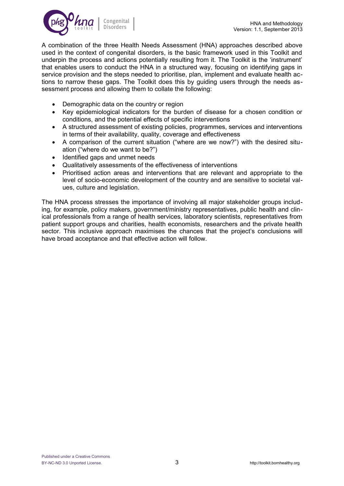

A combination of the three Health Needs Assessment (HNA) approaches described above used in the context of congenital disorders, is the basic framework used in this Toolkit and underpin the process and actions potentially resulting from it. The Toolkit is the 'instrument' that enables users to conduct the HNA in a structured way, focusing on identifying gaps in service provision and the steps needed to prioritise, plan, implement and evaluate health actions to narrow these gaps. The Toolkit does this by guiding users through the needs assessment process and allowing them to collate the following:

- Demographic data on the country or region
- Key epidemiological indicators for the burden of disease for a chosen condition or conditions, and the potential effects of specific interventions
- A structured assessment of existing policies, programmes, services and interventions in terms of their availability, quality, coverage and effectiveness
- A comparison of the current situation ("where are we now?") with the desired situation ("where do we want to be?")
- Identified gaps and unmet needs
- Qualitatively assessments of the effectiveness of interventions
- Prioritised action areas and interventions that are relevant and appropriate to the level of socio-economic development of the country and are sensitive to societal values, culture and legislation.

The HNA process stresses the importance of involving all major stakeholder groups including, for example, policy makers, government/ministry representatives, public health and clinical professionals from a range of health services, laboratory scientists, representatives from patient support groups and charities, health economists, researchers and the private health sector. This inclusive approach maximises the chances that the project's conclusions will have broad acceptance and that effective action will follow.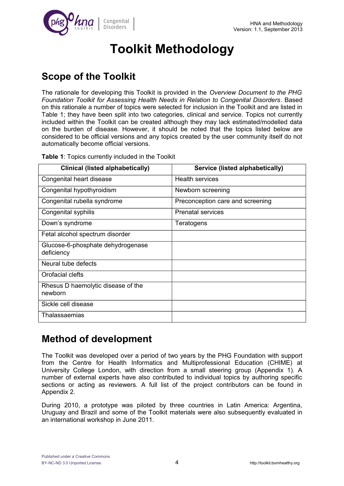



# **Toolkit Methodology**

### **Scope of the Toolkit**

The rationale for developing this Toolkit is provided in the *Overview Document to the PHG Foundation Toolkit for Assessing Health Needs in Relation to Congenital Disorders*. Based on this rationale a number of topics were selected for inclusion in the Toolkit and are listed in Table 1; they have been split into two categories, clinical and service. Topics not currently included within the Toolkit can be created although they may lack estimated/modelled data on the burden of disease. However, it should be noted that the topics listed below are considered to be official versions and any topics created by the user community itself do not automatically become official versions.

**Table 1**: Topics currently included in the Toolkit

| <b>Clinical (listed alphabetically)</b>         | Service (listed alphabetically)  |
|-------------------------------------------------|----------------------------------|
| Congenital heart disease                        | <b>Health services</b>           |
| Congenital hypothyroidism                       | Newborn screening                |
| Congenital rubella syndrome                     | Preconception care and screening |
| Congenital syphilis                             | <b>Prenatal services</b>         |
| Down's syndrome                                 | Teratogens                       |
| Fetal alcohol spectrum disorder                 |                                  |
| Glucose-6-phosphate dehydrogenase<br>deficiency |                                  |
| Neural tube defects                             |                                  |
| Orofacial clefts                                |                                  |
| Rhesus D haemolytic disease of the<br>newborn   |                                  |
| Sickle cell disease                             |                                  |
| Thalassaemias                                   |                                  |

### **Method of development**

The Toolkit was developed over a period of two years by the PHG Foundation with support from the Centre for Health Informatics and Multiprofessional Education (CHIME) at University College London, with direction from a small steering group (Appendix 1). A number of external experts have also contributed to individual topics by authoring specific sections or acting as reviewers. A full list of the project contributors can be found in Appendix 2.

During 2010, a prototype was piloted by three countries in Latin America: Argentina, Uruguay and Brazil and some of the Toolkit materials were also subsequently evaluated in an international workshop in June 2011.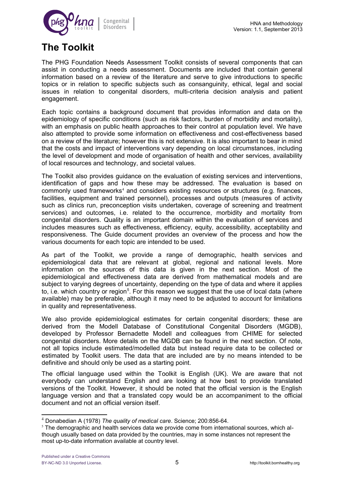

### **The Toolkit**

The PHG Foundation Needs Assessment Toolkit consists of several components that can assist in conducting a needs assessment. Documents are included that contain general information based on a review of the literature and serve to give introductions to specific topics or in relation to specific subjects such as consanguinity, ethical, legal and social issues in relation to congenital disorders, multi-criteria decision analysis and patient engagement.

Each topic contains a background document that provides information and data on the epidemiology of specific conditions (such as risk factors, burden of morbidity and mortality), with an emphasis on public health approaches to their control at population level. We have also attempted to provide some information on effectiveness and cost-effectiveness based on a review of the literature; however this is not extensive. It is also important to bear in mind that the costs and impact of interventions vary depending on local circumstances, including the level of development and mode of organisation of health and other services, availability of local resources and technology, and societal values.

The Toolkit also provides guidance on the evaluation of existing services and interventions, identification of gaps and how these may be addressed. The evaluation is based on commonly used frameworks<sup>[4](#page-4-0)</sup> and considers existing resources or structures (e.g. finances, facilities, equipment and trained personnel), processes and outputs (measures of activity such as clinics run, preconception visits undertaken, coverage of screening and treatment services) and outcomes, i.e. related to the occurrence, morbidity and mortality from congenital disorders. Quality is an important domain within the evaluation of services and includes measures such as effectiveness, efficiency, equity, accessibility, acceptability and responsiveness. The Guide document provides an overview of the process and how the various documents for each topic are intended to be used.

As part of the Toolkit, we provide a range of demographic, health services and epidemiological data that are relevant at global, regional and national levels. More information on the sources of this data is given in the next section. Most of the epidemiological and effectiveness data are derived from mathematical models and are subject to varying degrees of uncertainty, depending on the type of data and where it applies to, i.e. which country or region<sup>[5](#page-4-1)</sup>. For this reason we suggest that the use of local data (where available) may be preferable, although it may need to be adjusted to account for limitations in quality and representativeness.

We also provide epidemiological estimates for certain congenital disorders; these are derived from the Modell Database of Constitutional Congenital Disorders (MGDB), developed by Professor Bernadette Modell and colleagues from CHIME for selected congenital disorders. More details on the MGDB can be found in the next section. Of note, not all topics include estimated/modelled data but instead require data to be collected or estimated by Toolkit users. The data that are included are by no means intended to be definitive and should only be used as a starting point.

The official language used within the Toolkit is English (UK). We are aware that not everybody can understand English and are looking at how best to provide translated versions of the Toolkit. However, it should be noted that the official version is the English language version and that a translated copy would be an accompaniment to the official document and not an official version itself.

<span id="page-4-0"></span><sup>4</sup> Donabedian A (1978) *The quality of medical care*. Science; 200:856-64.

<span id="page-4-1"></span><sup>&</sup>lt;sup>5</sup> The demographic and health services data we provide come from international sources, which although usually based on data provided by the countries, may in some instances not represent the most up-to-date information available at country level.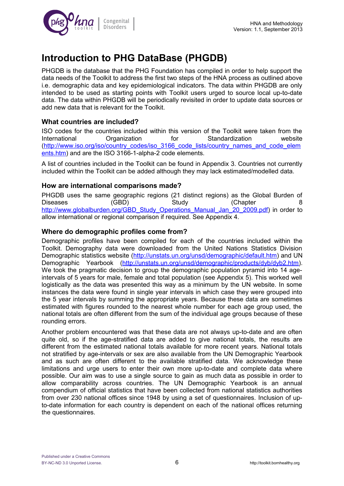

### **Introduction to PHG DataBase (PHGDB)**

PHGDB is the database that the PHG Foundation has compiled in order to help support the data needs of the Toolkit to address the first two steps of the HNA process as outlined above i.e. demographic data and key epidemiological indicators. The data within PHGDB are only intended to be used as starting points with Toolkit users urged to source local up-to-date data. The data within PHGDB will be periodically revisited in order to update data sources or add new data that is relevant for the Toolkit.

### **What countries are included?**

ISO codes for the countries included within this version of the Toolkit were taken from the<br>International Organization for Standardization website International Organization for Standardization website [\(http://www.iso.org/iso/country\\_codes/iso\\_3166\\_code\\_lists/country\\_names\\_and\\_code\\_elem](http://www.iso.org/iso/country_codes/iso_3166_code_lists/country_names_and_code_elements.htm) [ents.htm\)](http://www.iso.org/iso/country_codes/iso_3166_code_lists/country_names_and_code_elements.htm) and are the ISO 3166-1-alpha-2 code elements.

A list of countries included in the Toolkit can be found in Appendix 3. Countries not currently included within the Toolkit can be added although they may lack estimated/modelled data.

### **How are international comparisons made?**

PHGDB uses the same geographic regions (21 distinct regions) as the Global Burden of Diseases (GBD) Study (Chapter 8 [http://www.globalburden.org/GBD\\_Study\\_Operations\\_Manual\\_Jan\\_20\\_2009.pdf\)](http://www.globalburden.org/GBD_Study_Operations_Manual_Jan_20_2009.pdf) in order to allow international or regional comparison if required. See Appendix 4.

### **Where do demographic profiles come from?**

Demographic profiles have been compiled for each of the countries included within the Toolkit. Demography data were downloaded from the United Nations Statistics Division Demographic statistics website [\(http://unstats.un.org/unsd/demographic/default.htm\)](http://unstats.un.org/unsd/demographic/default.htm) and UN Demographic Yearbook [\(http://unstats.un.org/unsd/demographic/products/dyb/dyb2.htm\)](http://unstats.un.org/unsd/demographic/products/dyb/dyb2.htm). We took the pragmatic decision to group the demographic population pyramid into 14 ageintervals of 5 years for male, female and total population (see Appendix 5). This worked well logistically as the data was presented this way as a minimum by the UN website. In some instances the data were found in single year intervals in which case they were grouped into the 5 year intervals by summing the appropriate years. Because these data are sometimes estimated with figures rounded to the nearest whole number for each age group used, the national totals are often different from the sum of the individual age groups because of these rounding errors.

Another problem encountered was that these data are not always up-to-date and are often quite old, so if the age-stratified data are added to give national totals, the results are different from the estimated national totals available for more recent years. National totals not stratified by age-intervals or sex are also available from the UN Demographic Yearbook and as such are often different to the available stratified data. We acknowledge these limitations and urge users to enter their own more up-to-date and complete data where possible. Our aim was to use a single source to gain as much data as possible in order to allow comparability across countries. The UN Demographic Yearbook is an annual compendium of official statistics that have been collected from national statistics authorities from over 230 national offices since 1948 by using a set of questionnaires. Inclusion of upto-date information for each country is dependent on each of the national offices returning the questionnaires.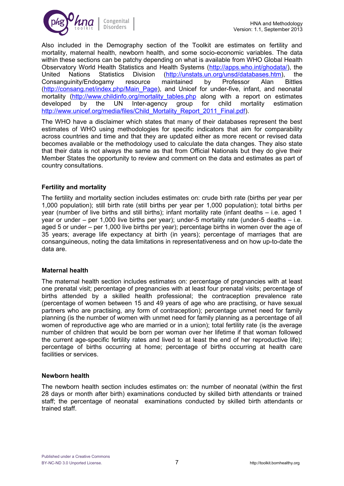

Also included in the Demography section of the Toolkit are estimates on fertility and mortality, maternal health, newborn health, and some socio-economic variables. The data within these sections can be patchy depending on what is available from WHO Global Health Observatory World Health Statistics and Health Systems [\(http://apps.who.int/ghodata/\)](http://apps.who.int/ghodata/), the United Nations Statistics Division [\(http://unstats.un.org/unsd/databases.htm\)](http://unstats.un.org/unsd/databases.htm), the Consanguinity/Endogamy resource maintained by Professor Alan Bittles Consanguinity/Endogamy resource maintained by Professor Alan [\(http://consang.net/index.php/Main\\_Page\)](http://consang.net/index.php/Main_Page), and Unicef for under-five, infant, and neonatal mortality (http://www.childinfo.org/mortality tables.php along with a report on estimates developed by the UN Inter-agency group for child mortality estimation [http://www.unicef.org/media/files/Child\\_Mortality\\_Report\\_2011\\_Final.pdf\)](http://www.unicef.org/media/files/Child_Mortality_Report_2011_Final.pdf).

The WHO have a disclaimer which states that many of their databases represent the best estimates of WHO using methodologies for specific indicators that aim for comparability across countries and time and that they are updated either as more recent or revised data becomes available or the methodology used to calculate the data changes. They also state that their data is not always the same as that from Official Nationals but they do give their Member States the opportunity to review and comment on the data and estimates as part of country consultations.

### **Fertility and mortality**

The fertility and mortality section includes estimates on: crude birth rate (births per year per 1,000 population); still birth rate (still births per year per 1,000 population); total births per year (number of live births and still births); infant mortality rate (infant deaths – i.e. aged 1 year or under – per 1,000 live births per year); under-5 mortality rate (under-5 deaths – i.e. aged 5 or under – per 1,000 live births per year); percentage births in women over the age of 35 years; average life expectancy at birth (in years); percentage of marriages that are consanguineous, noting the data limitations in representativeness and on how up-to-date the data are.

### **Maternal health**

The maternal health section includes estimates on: percentage of pregnancies with at least one prenatal visit; percentage of pregnancies with at least four prenatal visits; percentage of births attended by a skilled health professional; the contraception prevalence rate (percentage of women between 15 and 49 years of age who are practising, or have sexual partners who are practising, any form of contraception); percentage unmet need for family planning (is the number of women with unmet need for family planning as a percentage of all women of reproductive age who are married or in a union); total fertility rate (is the average number of children that would be born per woman over her lifetime if that woman followed the current age-specific fertility rates and lived to at least the end of her reproductive life); percentage of births occurring at home; percentage of births occurring at health care facilities or services.

### **Newborn health**

The newborn health section includes estimates on: the number of neonatal (within the first 28 days or month after birth) examinations conducted by skilled birth attendants or trained staff; the percentage of neonatal examinations conducted by skilled birth attendants or trained staff.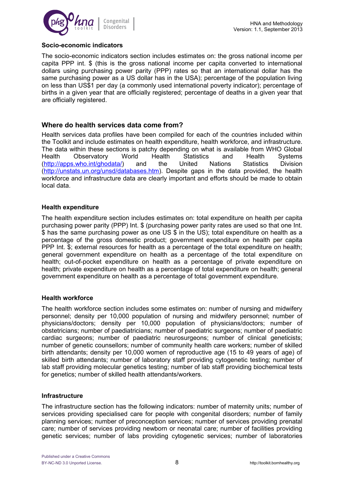

### **Socio-economic indicators**

The socio-economic indicators section includes estimates on: the gross national income per capita PPP int. \$ (this is the gross national income per capita converted to international dollars using purchasing power parity (PPP) rates so that an international dollar has the same purchasing power as a US dollar has in the USA); percentage of the population living on less than US\$1 per day (a commonly used international poverty indicator); percentage of births in a given year that are officially registered; percentage of deaths in a given year that are officially registered.

### **Where do health services data come from?**

Health services data profiles have been compiled for each of the countries included within the Toolkit and include estimates on health expenditure, health workforce, and infrastructure. The data within these sections is patchy depending on what is available from WHO Global Health Observatory World Health Statistics and Health Systems [\(http://apps.who.int/ghodata/\)](http://apps.who.int/ghodata/) and the United Nations Statistics Division [\(http://unstats.un.org/unsd/databases.htm\)](http://unstats.un.org/unsd/databases.htm). Despite gaps in the data provided, the health workforce and infrastructure data are clearly important and efforts should be made to obtain local data.

### **Health expenditure**

The health expenditure section includes estimates on: total expenditure on health per capita purchasing power parity (PPP) Int. \$ (purchasing power parity rates are used so that one Int. \$ has the same purchasing power as one US \$ in the US); total expenditure on health as a percentage of the gross domestic product; government expenditure on health per capita PPP Int. \$; external resources for health as a percentage of the total expenditure on health; general government expenditure on health as a percentage of the total expenditure on health; out-of-pocket expenditure on health as a percentage of private expenditure on health; private expenditure on health as a percentage of total expenditure on health; general government expenditure on health as a percentage of total government expenditure.

### **Health workforce**

The health workforce section includes some estimates on: number of nursing and midwifery personnel; density per 10,000 population of nursing and midwifery personnel; number of physicians/doctors; density per 10,000 population of physicians/doctors; number of obstetricians; number of paediatricians; number of paediatric surgeons; number of paediatric cardiac surgeons; number of paediatric neurosurgeons; number of clinical geneticists; number of genetic counsellors; number of community health care workers; number of skilled birth attendants; density per 10,000 women of reproductive age (15 to 49 years of age) of skilled birth attendants; number of laboratory staff providing cytogenetic testing; number of lab staff providing molecular genetics testing; number of lab staff providing biochemical tests for genetics; number of skilled health attendants/workers.

### **Infrastructure**

The infrastructure section has the following indicators: number of maternity units; number of services providing specialised care for people with congenital disorders; number of family planning services; number of preconception services; number of services providing prenatal care; number of services providing newborn or neonatal care; number of facilities providing genetic services; number of labs providing cytogenetic services; number of laboratories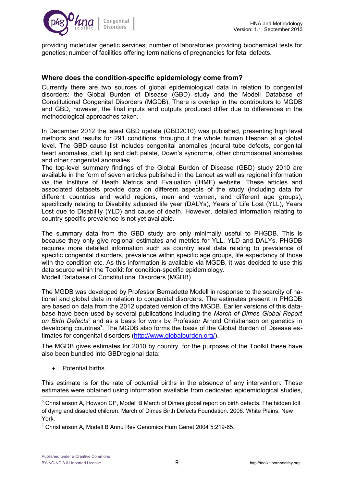

providing molecular genetic services; number of laboratories providing biochemical tests for genetics; number of facilities offering terminations of pregnancies for fetal defects.

### **Where does the condition-specific epidemiology come from?**

Currently there are two sources of global epidemiological data in relation to congenital disorders: the Global Burden of Disease (GBD) study and the Modell Database of Constitutional Congenital Disorders (MGDB). There is overlap in the contributors to MGDB and GBD, however, the final inputs and outputs produced differ due to differences in the methodological approaches taken.

In December 2012 the latest GBD update (GBD2010) was published, presenting high level methods and results for 291 conditions throughout the whole human lifespan at a global level. The GBD cause list includes congenital anomalies (neural tube defects, congenital heart anomalies, cleft lip and cleft palate, Down's syndrome, other chromosomal anomalies and other congenital anomalies.

The top-level summary findings of the Global Burden of Disease (GBD) study 2010 are available in the form of seven articles published in the Lancet as well as regional information via the Institute of Heath Metrics and Evaluation (IHME) website. These articles and associated datasets provide data on different aspects of the study (including data for different countries and world regions, men and women, and different age groups), specifically relating to Disability adjusted life year (DALYs), Years of Life Lost (YLL), Years Lost due to Disability (YLD) and cause of death. However, detailed information relating to country-specific prevalence is not yet available.

The summary data from the GBD study are only minimally useful to PHGDB. This is because they only give regional estimates and metrics for YLL, YLD and DALYs. PHGDB requires more detailed information such as country level data relating to prevalence of specific congenital disorders, prevalence within specific age groups, life expectancy of those with the condition etc. As this information is available via MGDB, it was decided to use this data source within the Toolkit for condition-specific epidemiology. Modell Database of Constitutional Disorders (MGDB)

The MGDB was developed by Professor Bernadette Modell in response to the scarcity of national and global data in relation to congenital disorders. The estimates present in PHGDB are based on data from the 2012 updated version of the MGDB. Earlier versions of this database have been used by several publications including the *March of Dimes Global Report on Birth Defects[6](#page-8-0)* and as a basis for work by Professor Arnold Christianson on genetics in developing countries<sup>[7](#page-8-1)</sup>. The MGDB also forms the basis of the Global Burden of Disease estimates for congenital disorders [\(http://www.globalburden.org/\)](http://www.globalburden.org/).

The MGDB gives estimates for 2010 by country, for the purposes of the Toolkit these have also been bundled into GBDregional data:

Potential births

This estimate is for the rate of potential births in the absence of any intervention. These estimates were obtained using information available from dedicated epidemiological studies,

<span id="page-8-0"></span> $6$  Christianson A, Howson CP, Modell B March of Dimes global report on birth defects. The hidden toll of dying and disabled children. March of Dimes Birth Defects Foundation. 2006. White Plains, New York.

<span id="page-8-1"></span> $7$  Christianson A, Modell B Annu Rev Genomics Hum Genet 2004 5:219-65.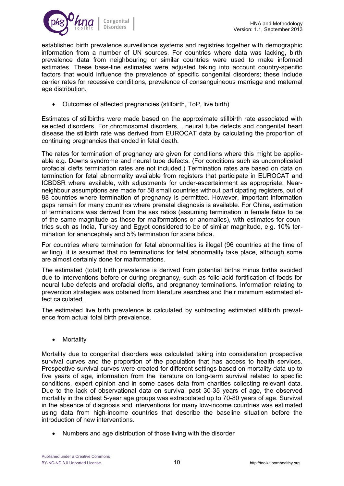

established birth prevalence surveillance systems and registries together with demographic information from a number of UN sources. For countries where data was lacking, birth prevalence data from neighbouring or similar countries were used to make informed estimates. These base-line estimates were adjusted taking into account country-specific factors that would influence the prevalence of specific congenital disorders; these include carrier rates for recessive conditions, prevalence of consanguineous marriage and maternal age distribution.

Outcomes of affected pregnancies (stillbirth, ToP, live birth)

Estimates of stillbirths were made based on the approximate stillbirth rate associated with selected disorders. For chromosomal disorders, , neural tube defects and congenital heart disease the stillbirth rate was derived from EUROCAT data by calculating the proportion of continuing pregnancies that ended in fetal death.

The rates for termination of pregnancy are given for conditions where this might be applicable e.g. Downs syndrome and neural tube defects. (For conditions such as uncomplicated orofacial clefts termination rates are not included.) Termination rates are based on data on termination for fetal abnormality available from registers that participate in EUROCAT and ICBDSR where available, with adjustments for under-ascertainment as appropriate. Nearneighbour assumptions are made for 58 small countries without participating registers, out of 88 countries where termination of pregnancy is permitted. However, important information gaps remain for many countries where prenatal diagnosis is available. For China, estimation of terminations was derived from the sex ratios (assuming termination in female fetus to be of the same magnitude as those for malformations or anomalies), with estimates for countries such as India, Turkey and Egypt considered to be of similar magnitude, e.g. 10% termination for anencephaly and 5% termination for spina bifida.

For countries where termination for fetal abnormalities is illegal (96 countries at the time of writing), it is assumed that no terminations for fetal abnormality take place, although some are almost certainly done for malformations.

The estimated (total) birth prevalence is derived from potential births minus births avoided due to interventions before or during pregnancy, such as folic acid fortification of foods for neural tube defects and orofacial clefts, and pregnancy terminations. Information relating to prevention strategies was obtained from literature searches and their minimum estimated effect calculated.

The estimated live birth prevalence is calculated by subtracting estimated stillbirth prevalence from actual total birth prevalence.

• Mortality

Mortality due to congenital disorders was calculated taking into consideration prospective survival curves and the proportion of the population that has access to health services. Prospective survival curves were created for different settings based on mortality data up to five years of age, information from the literature on long-term survival related to specific conditions, expert opinion and in some cases data from charities collecting relevant data. Due to the lack of observational data on survival past 30-35 years of age, the observed mortality in the oldest 5-year age groups was extrapolated up to 70-80 years of age. Survival in the absence of diagnosis and interventions for many low-income countries was estimated using data from high-income countries that describe the baseline situation before the introduction of new interventions.

Numbers and age distribution of those living with the disorder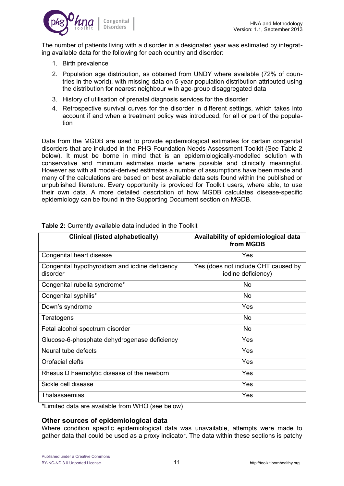

The number of patients living with a disorder in a designated year was estimated by integrating available data for the following for each country and disorder:

- 1. Birth prevalence
- 2. Population age distribution, as obtained from UNDY where available (72% of countries in the world), with missing data on 5-year population distribution attributed using the distribution for nearest neighbour with age-group disaggregated data
- 3. History of utilisation of prenatal diagnosis services for the disorder
- 4. Retrospective survival curves for the disorder in different settings, which takes into account if and when a treatment policy was introduced, for all or part of the population

Data from the MGDB are used to provide epidemiological estimates for certain congenital disorders that are included in the PHG Foundation Needs Assessment Toolkit (See Table 2 below). It must be borne in mind that is an epidemiologically-modelled solution with conservative and minimum estimates made where possible and clinically meaningful. However as with all model-derived estimates a number of assumptions have been made and many of the calculations are based on best available data sets found within the published or unpublished literature. Every opportunity is provided for Toolkit users, where able, to use their own data. A more detailed description of how MGDB calculates disease-specific epidemiology can be found in the Supporting Document section on MGDB.

| Clinical (listed alphabetically)                            | Availability of epidemiological data<br>from MGDB         |
|-------------------------------------------------------------|-----------------------------------------------------------|
| Congenital heart disease                                    | Yes                                                       |
| Congenital hypothyroidism and iodine deficiency<br>disorder | Yes (does not include CHT caused by<br>iodine deficiency) |
| Congenital rubella syndrome*                                | No                                                        |
| Congenital syphilis*                                        | No                                                        |
| Down's syndrome                                             | Yes                                                       |
| Teratogens                                                  | No.                                                       |
| Fetal alcohol spectrum disorder                             | No                                                        |
| Glucose-6-phosphate dehydrogenase deficiency                | <b>Yes</b>                                                |
| Neural tube defects                                         | Yes                                                       |
| Orofacial clefts                                            | <b>Yes</b>                                                |
| Rhesus D haemolytic disease of the newborn                  | <b>Yes</b>                                                |
| Sickle cell disease                                         | Yes                                                       |
| Thalassaemias                                               | Yes                                                       |

**Table 2:** Currently available data included in the Toolkit

\*Limited data are available from WHO (see below)

### **Other sources of epidemiological data**

Where condition specific epidemiological data was unavailable, attempts were made to gather data that could be used as a proxy indicator. The data within these sections is patchy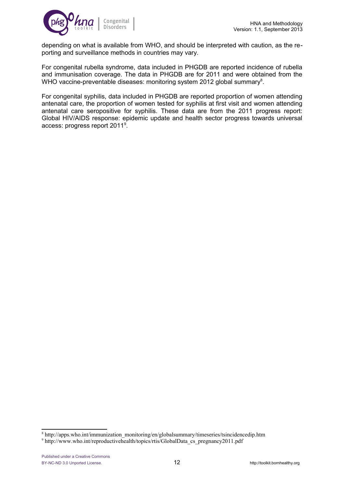

depending on what is available from WHO, and should be interpreted with caution, as the reporting and surveillance methods in countries may vary.

For congenital rubella syndrome, data included in PHGDB are reported incidence of rubella and immunisation coverage. The data in PHGDB are for 2011 and were obtained from the WHO vaccine-preventable diseases: monitoring system 2012 global summary<sup>[8](#page-11-0)</sup>.

For congenital syphilis, data included in PHGDB are reported proportion of women attending antenatal care, the proportion of women tested for syphilis at first visit and women attending antenatal care seropositive for syphilis. These data are from the 2011 progress report: Global HIV/AIDS response: epidemic update and health sector progress towards universal access: progress report 2011<sup>[9](#page-11-1)</sup>.

<span id="page-11-0"></span><sup>8</sup> http://apps.who.int/immunization\_monitoring/en/globalsummary/timeseries/tsincidencedip.htm

<span id="page-11-1"></span><sup>&</sup>lt;sup>9</sup> http://www.who.int/reproductivehealth/topics/rtis/GlobalData\_cs\_pregnancy2011.pdf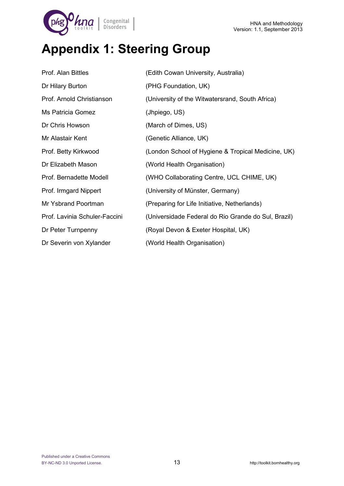

# **Appendix 1: Steering Group**

| Prof. Alan Bittles            | (Edith Cowan University, Australia)                 |
|-------------------------------|-----------------------------------------------------|
| Dr Hilary Burton              | (PHG Foundation, UK)                                |
| Prof. Arnold Christianson     | (University of the Witwatersrand, South Africa)     |
| Ms Patricia Gomez             | (Jhpiego, US)                                       |
| Dr Chris Howson               | (March of Dimes, US)                                |
| Mr Alastair Kent              | (Genetic Alliance, UK)                              |
| Prof. Betty Kirkwood          | (London School of Hygiene & Tropical Medicine, UK)  |
| Dr Elizabeth Mason            | (World Health Organisation)                         |
| Prof. Bernadette Modell       | (WHO Collaborating Centre, UCL CHIME, UK)           |
| Prof. Irmgard Nippert         | (University of Münster, Germany)                    |
| Mr Ysbrand Poortman           | (Preparing for Life Initiative, Netherlands)        |
| Prof. Lavinia Schuler-Faccini | (Universidade Federal do Rio Grande do Sul, Brazil) |
| Dr Peter Turnpenny            | (Royal Devon & Exeter Hospital, UK)                 |
| Dr Severin von Xylander       | (World Health Organisation)                         |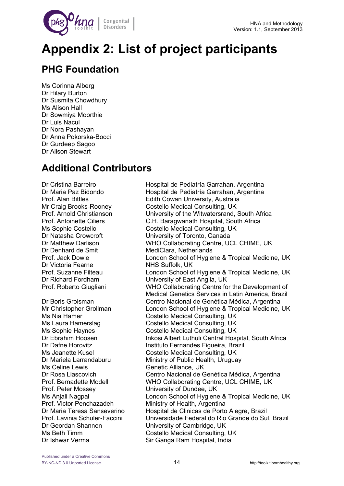

# **Appendix 2: List of project participants**

### **PHG Foundation**

Ms Corinna Alberg Dr Hilary Burton Dr Susmita Chowdhury Ms Alison Hall Dr Sowmiya Moorthie Dr Luis Nacul Dr Nora Pashayan Dr Anna Pokorska-Bocci Dr Gurdeep Sagoo Dr Alison Stewart

### **Additional Contributors**

Dr Denhard de Smit MediClara, Netherlands Dr Victoria Fearne NHS Suffolk, UK

Ms Celine Lewis Genetic Alliance, UK Prof. Peter Mossey **University of Dundee, UK** Prof. Victor Penchazadeh Ministry of Health, Argentina Dr Geordan Shannon University of Cambridge, UK Dr Ishwar Verma Sir Ganga Ram Hospital, India

Dr Cristina Barreiro Hospital de Pediatría Garrahan, Argentina Dr Maria Paz Bidondo **Hospital de Pediatría Garrahan, Argentina** Prof. Alan Bittles **Edith Cowan University, Australia** Mr Craig Brooks-Rooney Costello Medical Consulting, UK Prof. Arnold Christianson University of the Witwatersrand, South Africa Prof. Antoinette Ciliers C.H. Baragwanath Hospital, South Africa Ms Sophie Costello Costello Costello Medical Consulting, UK Dr Natasha Crowcroft University of Toronto, Canada Dr Matthew Darlison WHO Collaborating Centre, UCL CHIME, UK Prof. Jack Dowie London School of Hygiene & Tropical Medicine, UK Prof. Suzanne Filteau London School of Hygiene & Tropical Medicine, UK Dr Richard Fordham University of East Anglia, UK Prof. Roberto Giugliani WHO Collaborating Centre for the Development of Medical Genetics Services in Latin America, Brazil Dr Boris Groisman Centro Nacional de Genética Médica, Argentina Mr Christopher Grollman London School of Hygiene & Tropical Medicine, UK Ms Nia Hamer Costello Medical Consulting, UK Ms Laura Hamerslag Costello Medical Consulting, UK Ms Sophie Haynes Costello Medical Consulting, UK Dr Ebrahim Hoosen Inkosi Albert Luthuli Central Hospital, South Africa Dr Dafne Horovitz **Instituto Fernandes Figueira, Brazil** Ms Jeanette Kusel Costello Medical Consulting, UK Dr Mariela Larrandaburu Ministry of Public Health, Uruguay Dr Rosa Liascovich Centro Nacional de Genética Médica, Argentina Prof. Bernadette Modell WHO Collaborating Centre, UCL CHIME, UK Ms Anjali Nagpal London School of Hygiene & Tropical Medicine, UK Dr Maria Teresa Sanseverino Hospital de Clinicas de Porto Alegre, Brazil Prof. Lavinia Schuler-Faccini Universidade Federal do Rio Grande do Sul, Brazil Ms Beth Timm Costello Medical Consulting, UK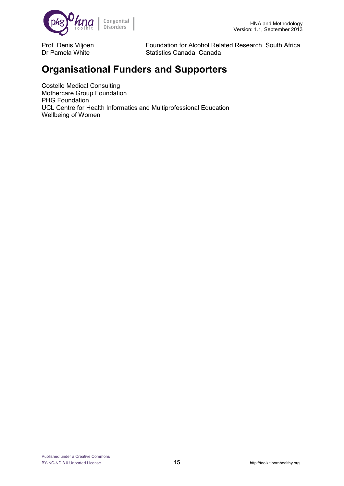

Prof. Denis Viljoen Foundation for Alcohol Related Research, South Africa Dr Pamela White Statistics Canada, Canada

### **Organisational Funders and Supporters**

Costello Medical Consulting Mothercare Group Foundation PHG Foundation UCL Centre for Health Informatics and Multiprofessional Education Wellbeing of Women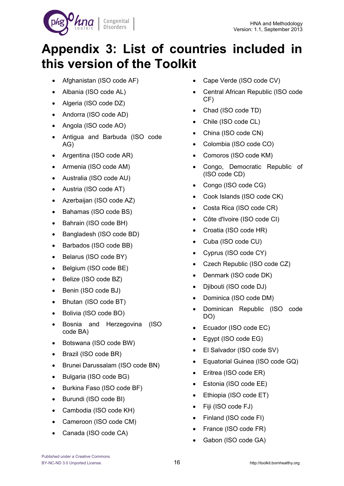

# **Appendix 3: List of countries included in this version of the Toolkit**

- Afghanistan (ISO code AF)
- Albania (ISO code AL)
- Algeria (ISO code DZ)
- Andorra (ISO code AD)
- Angola (ISO code AO)
- Antigua and Barbuda (ISO code AG)
- Argentina (ISO code AR)
- Armenia (ISO code AM)
- Australia (ISO code AU)
- Austria (ISO code AT)
- Azerbaijan (ISO code AZ)
- Bahamas (ISO code BS)
- Bahrain (ISO code BH)
- Bangladesh (ISO code BD)
- Barbados (ISO code BB)
- Belarus (ISO code BY)
- Belgium (ISO code BE)
- Belize (ISO code BZ)
- Benin (ISO code BJ)
- Bhutan (ISO code BT)
- Bolivia (ISO code BO)
- Bosnia and Herzegovina (ISO code BA)
- Botswana (ISO code BW)
- Brazil (ISO code BR)
- Brunei Darussalam (ISO code BN)
- Bulgaria (ISO code BG)
- Burkina Faso (ISO code BF)
- Burundi (ISO code BI)
- Cambodia (ISO code KH)
- Cameroon (ISO code CM)
- Canada (ISO code CA)
- Cape Verde (ISO code CV)
- Central African Republic (ISO code CF)
- Chad (ISO code TD)
- Chile (ISO code CL)
- China (ISO code CN)
- Colombia (ISO code CO)
- Comoros (ISO code KM)
- Congo, Democratic Republic of (ISO code CD)
- Congo (ISO code CG)
- Cook Islands (ISO code CK)
- Costa Rica (ISO code CR)
- Côte d'Ivoire (ISO code CI)
- Croatia (ISO code HR)
- Cuba (ISO code CU)
- Cyprus (ISO code CY)
- Czech Republic (ISO code CZ)
- Denmark (ISO code DK)
- Djibouti (ISO code DJ)
- Dominica (ISO code DM)
- Dominican Republic (ISO code DO)
- Ecuador (ISO code EC)
- Eqypt (ISO code EG)
- El Salvador (ISO code SV)
- Equatorial Guinea (ISO code GQ)
- Eritrea (ISO code ER)
- Estonia (ISO code EE)
- Ethiopia (ISO code ET)
- Fiji (ISO code FJ)
- Finland (ISO code FI)
- France (ISO code FR)
- Gabon (ISO code GA)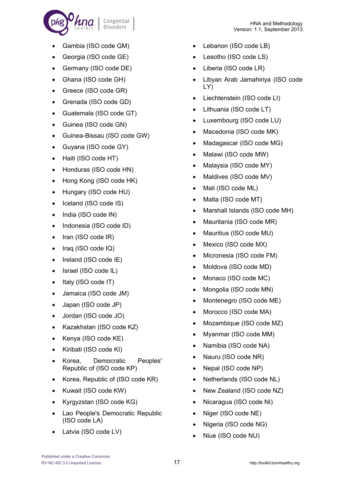

- Gambia (ISO code GM)
- Georgia (ISO code GE)
- Germany (ISO code DE)
- Ghana (ISO code GH)
- Greece (ISO code GR)
- Grenada (ISO code GD)
- Guatemala (ISO code GT)
- Guinea (ISO code GN)
- Guinea-Bissau (ISO code GW)
- Guyana (ISO code GY)
- Haiti (ISO code HT)
- Honduras (ISO code HN)
- Hong Kong (ISO code HK)
- Hungary (ISO code HU)
- Iceland (ISO code IS)
- India (ISO code IN)
- Indonesia (ISO code ID)
- $\bullet$  Iran (ISO code IR)
- Iraq (ISO code IQ)
- Ireland (ISO code IE)
- Israel (ISO code IL)
- Italy (ISO code IT)
- Jamaica (ISO code JM)
- Japan (ISO code JP)
- Jordan (ISO code JO)
- Kazakhstan (ISO code KZ)
- Kenya (ISO code KE)
- Kiribati (ISO code KI)
- Korea, Democratic Peoples' Republic of (ISO code KP)
- Korea, Republic of (ISO code KR)
- Kuwait (ISO code KW)
- Kyrgyzstan (ISO code KG)
- Lao People's Democratic Republic (ISO code LA)
- Latvia (ISO code LV)
- Lebanon (ISO code LB)
- Lesotho (ISO code LS)
- Liberia (ISO code LR)
- Libyan Arab Jamahiriya (ISO code LY)
- Liechtenstein (ISO code LI)
- Lithuania (ISO code LT)
- Luxembourg (ISO code LU)
- Macedonia (ISO code MK)
- Madagascar (ISO code MG)
- Malawi (ISO code MW)
- Malaysia (ISO code MY)
- Maldives (ISO code MV)
- Mali (ISO code ML)
- Malta (ISO code MT)
- Marshall Islands (ISO code MH)
- Mauritania (ISO code MR)
- Mauritius (ISO code MU)
- Mexico (ISO code MX)
- Micronesia (ISO code FM)
- Moldova (ISO code MD)
- Monaco (ISO code MC)
- Mongolia (ISO code MN)
- Montenegro (ISO code ME)
- Morocco (ISO code MA)
- Mozambique (ISO code MZ)
- Myanmar (ISO code MM)
- Namibia (ISO code NA)
- Nauru (ISO code NR)
- Nepal (ISO code NP)
- Netherlands (ISO code NL)
- New Zealand (ISO code NZ)
- Nicaragua (ISO code NI)
- Niger (ISO code NE)
- Nigeria (ISO code NG)
- Niue (ISO code NU)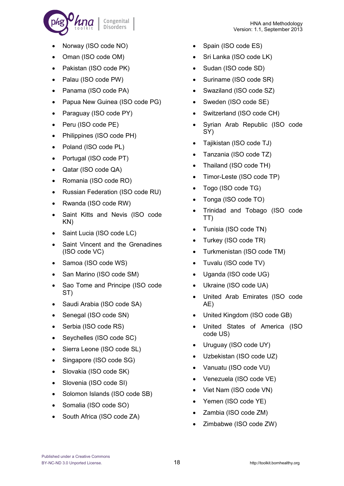

- Norway (ISO code NO)
- Oman (ISO code OM)
- Pakistan (ISO code PK)
- Palau (ISO code PW)
- Panama (ISO code PA)
- Papua New Guinea (ISO code PG)
- Paraguay (ISO code PY)
- Peru (ISO code PE)
- Philippines (ISO code PH)
- Poland (ISO code PL)
- Portugal (ISO code PT)
- Qatar (ISO code QA)
- Romania (ISO code RO)
- Russian Federation (ISO code RU)
- Rwanda (ISO code RW)
- Saint Kitts and Nevis (ISO code KN)
- Saint Lucia (ISO code LC)
- Saint Vincent and the Grenadines (ISO code VC)
- Samoa (ISO code WS)
- San Marino (ISO code SM)
- Sao Tome and Principe (ISO code ST)
- Saudi Arabia (ISO code SA)
- Senegal (ISO code SN)
- Serbia (ISO code RS)
- Seychelles (ISO code SC)
- Sierra Leone (ISO code SL)
- Singapore (ISO code SG)
- Slovakia (ISO code SK)
- Slovenia (ISO code SI)
- Solomon Islands (ISO code SB)
- Somalia (ISO code SO)
- South Africa (ISO code ZA)
- Spain (ISO code ES)
- Sri Lanka (ISO code LK)
- Sudan (ISO code SD)
- Suriname (ISO code SR)
- Swaziland (ISO code SZ)
- Sweden (ISO code SE)
- Switzerland (ISO code CH)
- Syrian Arab Republic (ISO code SY)
- Tajikistan (ISO code TJ)
- Tanzania (ISO code TZ)
- Thailand (ISO code TH)
- Timor-Leste (ISO code TP)
- Togo (ISO code TG)
- Tonga (ISO code TO)
- Trinidad and Tobago (ISO code TT)
- Tunisia (ISO code TN)
- Turkey (ISO code TR)
- Turkmenistan (ISO code TM)
- Tuvalu (ISO code TV)
- Uganda (ISO code UG)
- Ukraine (ISO code UA)
- United Arab Emirates (ISO code AE)
- United Kingdom (ISO code GB)
- United States of America (ISO code US)
- Uruguay (ISO code UY)
- Uzbekistan (ISO code UZ)
- Vanuatu (ISO code VU)
- Venezuela (ISO code VE)
- Viet Nam (ISO code VN)
- Yemen (ISO code YE)
- Zambia (ISO code ZM)
- Zimbabwe (ISO code ZW)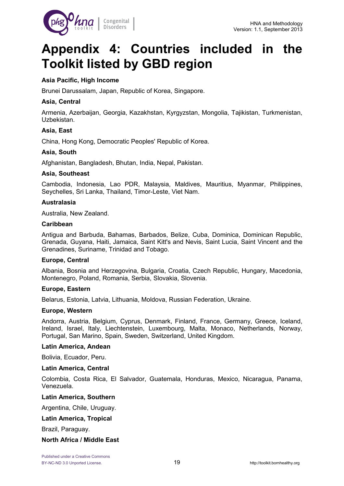

# **Appendix 4: Countries included in the Toolkit listed by GBD region**

### **Asia Pacific, High Income**

Brunei Darussalam, Japan, Republic of Korea, Singapore.

### **Asia, Central**

Armenia, Azerbaijan, Georgia, Kazakhstan, Kyrgyzstan, Mongolia, Tajikistan, Turkmenistan, Uzbekistan.

### **Asia, East**

China, Hong Kong, Democratic Peoples' Republic of Korea.

### **Asia, South**

Afghanistan, Bangladesh, Bhutan, India, Nepal, Pakistan.

### **Asia, Southeast**

Cambodia, Indonesia, Lao PDR, Malaysia, Maldives, Mauritius, Myanmar, Philippines, Seychelles, Sri Lanka, Thailand, Timor-Leste, Viet Nam.

#### **Australasia**

Australia, New Zealand.

#### **Caribbean**

Antigua and Barbuda, Bahamas, Barbados, Belize, Cuba, Dominica, Dominican Republic, Grenada, Guyana, Haiti, Jamaica, Saint Kitt's and Nevis, Saint Lucia, Saint Vincent and the Grenadines, Suriname, Trinidad and Tobago.

### **Europe, Central**

Albania, Bosnia and Herzegovina, Bulgaria, Croatia, Czech Republic, Hungary, Macedonia, Montenegro, Poland, Romania, Serbia, Slovakia, Slovenia.

### **Europe, Eastern**

Belarus, Estonia, Latvia, Lithuania, Moldova, Russian Federation, Ukraine.

#### **Europe, Western**

Andorra, Austria, Belgium, Cyprus, Denmark, Finland, France, Germany, Greece, Iceland, Ireland, Israel, Italy, Liechtenstein, Luxembourg, Malta, Monaco, Netherlands, Norway, Portugal, San Marino, Spain, Sweden, Switzerland, United Kingdom.

#### **Latin America, Andean**

Bolivia, Ecuador, Peru.

#### **Latin America, Central**

Colombia, Costa Rica, El Salvador, Guatemala, Honduras, Mexico, Nicaragua, Panama, Venezuela.

### **Latin America, Southern**

Argentina, Chile, Uruguay.

### **Latin America, Tropical**

Brazil, Paraguay.

### **North Africa / Middle East**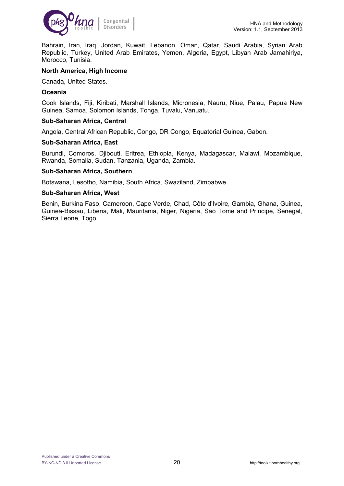

Bahrain, Iran, Iraq, Jordan, Kuwait, Lebanon, Oman, Qatar, Saudi Arabia, Syrian Arab Republic, Turkey, United Arab Emirates, Yemen, Algeria, Egypt, Libyan Arab Jamahiriya, Morocco, Tunisia.

### **North America, High Income**

Canada, United States.

### **Oceania**

Cook Islands, Fiji, Kiribati, Marshall Islands, Micronesia, Nauru, Niue, Palau, Papua New Guinea, Samoa, Solomon Islands, Tonga, Tuvalu, Vanuatu.

### **Sub-Saharan Africa, Central**

Angola, Central African Republic, Congo, DR Congo, Equatorial Guinea, Gabon.

### **Sub-Saharan Africa, East**

Burundi, Comoros, Djibouti, Eritrea, Ethiopia, Kenya, Madagascar, Malawi, Mozambique, Rwanda, Somalia, Sudan, Tanzania, Uganda, Zambia.

### **Sub-Saharan Africa, Southern**

Botswana, Lesotho, Namibia, South Africa, Swaziland, Zimbabwe.

### **Sub-Saharan Africa, West**

Benin, Burkina Faso, Cameroon, Cape Verde, Chad, Côte d'Ivoire, Gambia, Ghana, Guinea, Guinea-Bissau, Liberia, Mali, Mauritania, Niger, Nigeria, Sao Tome and Principe, Senegal, Sierra Leone, Togo.